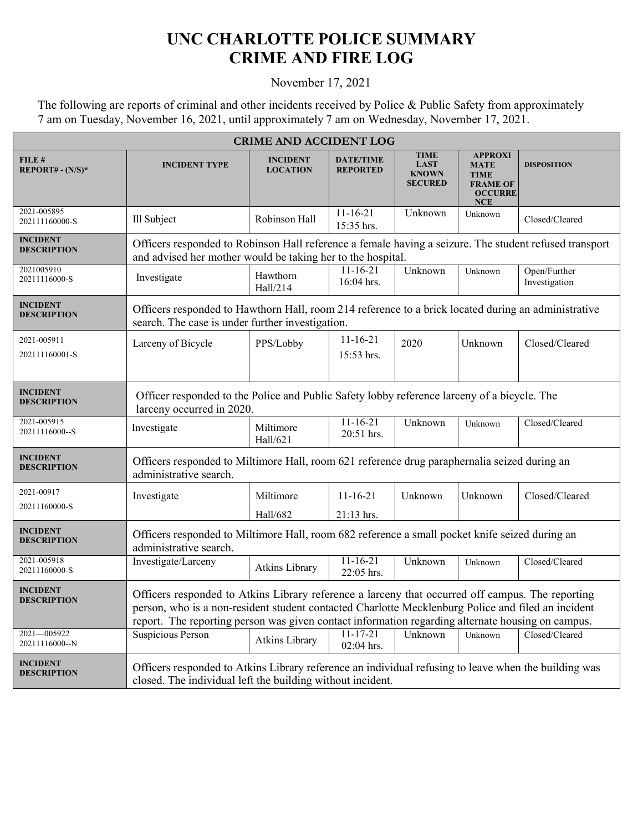## **UNC CHARLOTTE POLICE SUMMARY CRIME AND FIRE LOG**

November 17, 2021

The following are reports of criminal and other incidents received by Police & Public Safety from approximately 7 am on Tuesday, November 16, 2021, until approximately 7 am on Wednesday, November 17, 2021.

| <b>CRIME AND ACCIDENT LOG</b>         |                                                                                                                                                                                                                                                                                                             |                                    |                                     |                                                              |                                                                                            |                               |  |
|---------------------------------------|-------------------------------------------------------------------------------------------------------------------------------------------------------------------------------------------------------------------------------------------------------------------------------------------------------------|------------------------------------|-------------------------------------|--------------------------------------------------------------|--------------------------------------------------------------------------------------------|-------------------------------|--|
| FILE#<br>$REPORT# - (N/S)*$           | <b>INCIDENT TYPE</b>                                                                                                                                                                                                                                                                                        | <b>INCIDENT</b><br><b>LOCATION</b> | <b>DATE/TIME</b><br><b>REPORTED</b> | <b>TIME</b><br><b>LAST</b><br><b>KNOWN</b><br><b>SECURED</b> | <b>APPROXI</b><br><b>MATE</b><br><b>TIME</b><br><b>FRAME OF</b><br><b>OCCURRE</b><br>$NCE$ | <b>DISPOSITION</b>            |  |
| 2021-005895<br>202111160000-S         | Ill Subject                                                                                                                                                                                                                                                                                                 | Robinson Hall                      | $11 - 16 - 21$<br>15:35 hrs.        | Unknown                                                      | Unknown                                                                                    | Closed/Cleared                |  |
| <b>INCIDENT</b><br><b>DESCRIPTION</b> | Officers responded to Robinson Hall reference a female having a seizure. The student refused transport<br>and advised her mother would be taking her to the hospital.                                                                                                                                       |                                    |                                     |                                                              |                                                                                            |                               |  |
| 2021005910<br>20211116000-S           | Investigate                                                                                                                                                                                                                                                                                                 | Hawthorn<br>Hall/214               | $11 - 16 - 21$<br>16:04 hrs.        | Unknown                                                      | Unknown                                                                                    | Open/Further<br>Investigation |  |
| <b>INCIDENT</b><br><b>DESCRIPTION</b> | Officers responded to Hawthorn Hall, room 214 reference to a brick located during an administrative<br>search. The case is under further investigation.                                                                                                                                                     |                                    |                                     |                                                              |                                                                                            |                               |  |
| 2021-005911<br>202111160001-S         | Larceny of Bicycle                                                                                                                                                                                                                                                                                          | PPS/Lobby                          | $11 - 16 - 21$<br>15:53 hrs.        | 2020                                                         | Unknown                                                                                    | Closed/Cleared                |  |
| <b>INCIDENT</b><br><b>DESCRIPTION</b> | Officer responded to the Police and Public Safety lobby reference larceny of a bicycle. The<br>larceny occurred in 2020.                                                                                                                                                                                    |                                    |                                     |                                                              |                                                                                            |                               |  |
| 2021-005915<br>20211116000--S         | Investigate                                                                                                                                                                                                                                                                                                 | Miltimore<br>Hall/621              | $11 - 16 - 21$<br>20:51 hrs.        | Unknown                                                      | Unknown                                                                                    | Closed/Cleared                |  |
| <b>INCIDENT</b><br><b>DESCRIPTION</b> | Officers responded to Miltimore Hall, room 621 reference drug paraphernalia seized during an<br>administrative search.                                                                                                                                                                                      |                                    |                                     |                                                              |                                                                                            |                               |  |
| 2021-00917<br>20211160000-S           | Investigate                                                                                                                                                                                                                                                                                                 | Miltimore<br>Hall/682              | $11 - 16 - 21$<br>21:13 hrs.        | Unknown                                                      | Unknown                                                                                    | Closed/Cleared                |  |
| <b>INCIDENT</b><br><b>DESCRIPTION</b> | Officers responded to Miltimore Hall, room 682 reference a small pocket knife seized during an<br>administrative search.                                                                                                                                                                                    |                                    |                                     |                                                              |                                                                                            |                               |  |
| 2021-005918<br>20211160000-S          | Investigate/Larceny                                                                                                                                                                                                                                                                                         | Atkins Library                     | $11 - 16 - 21$<br>22:05 hrs.        | Unknown                                                      | Unknown                                                                                    | Closed/Cleared                |  |
| <b>INCIDENT</b><br><b>DESCRIPTION</b> | Officers responded to Atkins Library reference a larceny that occurred off campus. The reporting<br>person, who is a non-resident student contacted Charlotte Mecklenburg Police and filed an incident<br>report. The reporting person was given contact information regarding alternate housing on campus. |                                    |                                     |                                                              |                                                                                            |                               |  |
| 2021-005922<br>20211116000--N         | <b>Suspicious Person</b>                                                                                                                                                                                                                                                                                    | Atkins Library                     | $11 - 17 - 21$<br>02:04 hrs.        | Unknown                                                      | Unknown                                                                                    | Closed/Cleared                |  |
| <b>INCIDENT</b><br><b>DESCRIPTION</b> | Officers responded to Atkins Library reference an individual refusing to leave when the building was<br>closed. The individual left the building without incident.                                                                                                                                          |                                    |                                     |                                                              |                                                                                            |                               |  |